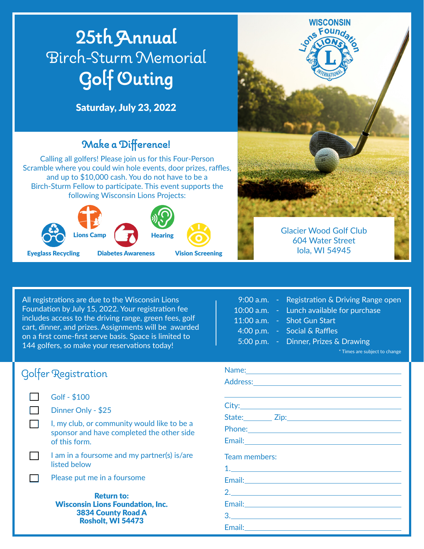

All registrations are due to the Wisconsin Lions Foundation by July 15, 2022. Your registration fee includes access to the driving range, green fees, golf cart, dinner, and prizes. Assignments will be awarded on a first come-first serve basis. Space is limited to 144 golfers, so make your reservations today!

| 9:00 a.m.    |  |
|--------------|--|
| $10:00$ a.m. |  |
| 11:00 a.m.   |  |
| 4:00 p.m.    |  |
| $5:00$ p.m.  |  |

Registration & Driving Range open

- Lunch available for purchase
- Shot Gun Start
- Social & Raffles
	-
	- Dinner, Prizes & Drawing

\* Times are subject to change

| Golfer Registration                                                                                                                             | Name:<br>Addres                    |  |  |
|-------------------------------------------------------------------------------------------------------------------------------------------------|------------------------------------|--|--|
| Golf - \$100<br>Dinner Only - \$25<br>I, my club, or community would like to be a<br>sponsor and have completed the other side<br>of this form. | City:<br>State:<br>Phone<br>Email: |  |  |
| I am in a foursome and my partner(s) is/are<br>listed below                                                                                     | Team r                             |  |  |
| Please put me in a foursome                                                                                                                     | Email:                             |  |  |
| <b>Return to:</b><br><b>Wisconsin Lions Foundation, Inc.</b><br><b>3834 County Road A</b>                                                       | 2 <sub>1</sub><br>Email:           |  |  |

Rosholt, WI 54473

| Phone: Note and the second contract of the second contract of the second contract of the second contract of the second contract of the second contract of the second contract of the second contract of the second contract of |  |  |
|--------------------------------------------------------------------------------------------------------------------------------------------------------------------------------------------------------------------------------|--|--|
|                                                                                                                                                                                                                                |  |  |
| Team members:                                                                                                                                                                                                                  |  |  |
|                                                                                                                                                                                                                                |  |  |
|                                                                                                                                                                                                                                |  |  |
| 2.                                                                                                                                                                                                                             |  |  |
|                                                                                                                                                                                                                                |  |  |
|                                                                                                                                                                                                                                |  |  |
|                                                                                                                                                                                                                                |  |  |